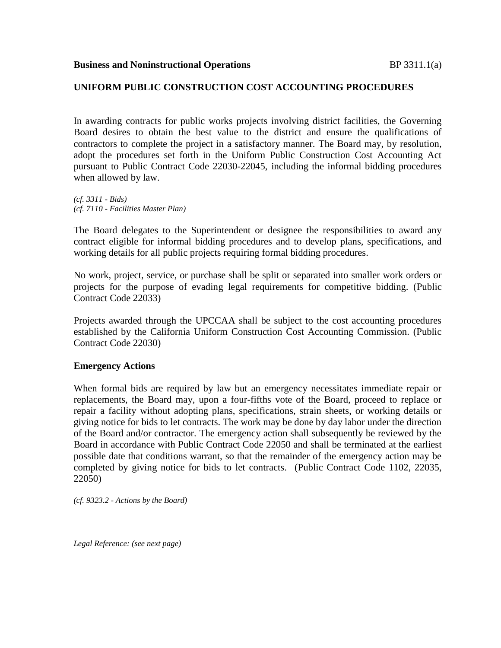### **UNIFORM PUBLIC CONSTRUCTION COST ACCOUNTING PROCEDURES**

In awarding contracts for public works projects involving district facilities, the Governing Board desires to obtain the best value to the district and ensure the qualifications of contractors to complete the project in a satisfactory manner. The Board may, by resolution, adopt the procedures set forth in the Uniform Public Construction Cost Accounting Act pursuant to Public Contract Code 22030-22045, including the informal bidding procedures when allowed by law.

*(cf. 3311 - Bids) (cf. 7110 - Facilities Master Plan)*

The Board delegates to the Superintendent or designee the responsibilities to award any contract eligible for informal bidding procedures and to develop plans, specifications, and working details for all public projects requiring formal bidding procedures.

No work, project, service, or purchase shall be split or separated into smaller work orders or projects for the purpose of evading legal requirements for competitive bidding. (Public Contract Code 22033)

Projects awarded through the UPCCAA shall be subject to the cost accounting procedures established by the California Uniform Construction Cost Accounting Commission. (Public Contract Code 22030)

### **Emergency Actions**

When formal bids are required by law but an emergency necessitates immediate repair or replacements, the Board may, upon a four-fifths vote of the Board, proceed to replace or repair a facility without adopting plans, specifications, strain sheets, or working details or giving notice for bids to let contracts. The work may be done by day labor under the direction of the Board and/or contractor. The emergency action shall subsequently be reviewed by the Board in accordance with Public Contract Code 22050 and shall be terminated at the earliest possible date that conditions warrant, so that the remainder of the emergency action may be completed by giving notice for bids to let contracts. (Public Contract Code 1102, 22035, 22050)

*(cf. 9323.2 - Actions by the Board)*

*Legal Reference: (see next page)*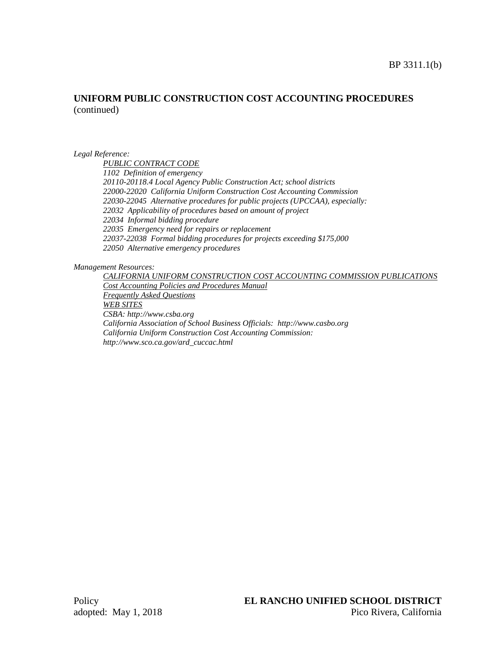### **UNIFORM PUBLIC CONSTRUCTION COST ACCOUNTING PROCEDURES**  (continued)

#### *Legal Reference:*

*PUBLIC CONTRACT CODE 1102 Definition of emergency 20110-20118.4 Local Agency Public Construction Act; school districts 22000-22020 California Uniform Construction Cost Accounting Commission 22030-22045 Alternative procedures for public projects (UPCCAA), especially: 22032 Applicability of procedures based on amount of project 22034 Informal bidding procedure 22035 Emergency need for repairs or replacement 22037-22038 Formal bidding procedures for projects exceeding \$175,000 22050 Alternative emergency procedures*

*Management Resources:*

*CALIFORNIA UNIFORM CONSTRUCTION COST ACCOUNTING COMMISSION PUBLICATIONS Cost Accounting Policies and Procedures Manual Frequently Asked Questions WEB SITES CSBA: http://www.csba.org California Association of School Business Officials: http://www.casbo.org California Uniform Construction Cost Accounting Commission: http://www.sco.ca.gov/ard\_cuccac.html*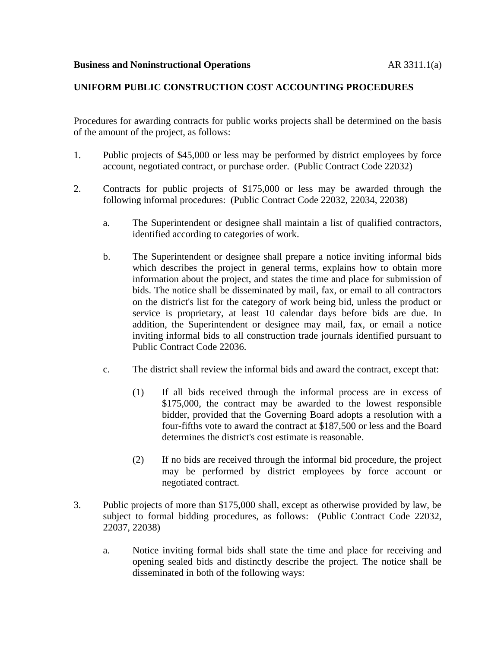# **UNIFORM PUBLIC CONSTRUCTION COST ACCOUNTING PROCEDURES**

Procedures for awarding contracts for public works projects shall be determined on the basis of the amount of the project, as follows:

- 1. Public projects of \$45,000 or less may be performed by district employees by force account, negotiated contract, or purchase order. (Public Contract Code 22032)
- 2. Contracts for public projects of \$175,000 or less may be awarded through the following informal procedures: (Public Contract Code 22032, 22034, 22038)
	- a. The Superintendent or designee shall maintain a list of qualified contractors, identified according to categories of work.
	- b. The Superintendent or designee shall prepare a notice inviting informal bids which describes the project in general terms, explains how to obtain more information about the project, and states the time and place for submission of bids. The notice shall be disseminated by mail, fax, or email to all contractors on the district's list for the category of work being bid, unless the product or service is proprietary, at least 10 calendar days before bids are due. In addition, the Superintendent or designee may mail, fax, or email a notice inviting informal bids to all construction trade journals identified pursuant to Public Contract Code 22036.
	- c. The district shall review the informal bids and award the contract, except that:
		- (1) If all bids received through the informal process are in excess of \$175,000, the contract may be awarded to the lowest responsible bidder, provided that the Governing Board adopts a resolution with a four-fifths vote to award the contract at \$187,500 or less and the Board determines the district's cost estimate is reasonable.
		- (2) If no bids are received through the informal bid procedure, the project may be performed by district employees by force account or negotiated contract.
- 3. Public projects of more than \$175,000 shall, except as otherwise provided by law, be subject to formal bidding procedures, as follows: (Public Contract Code 22032, 22037, 22038)
	- a. Notice inviting formal bids shall state the time and place for receiving and opening sealed bids and distinctly describe the project. The notice shall be disseminated in both of the following ways: